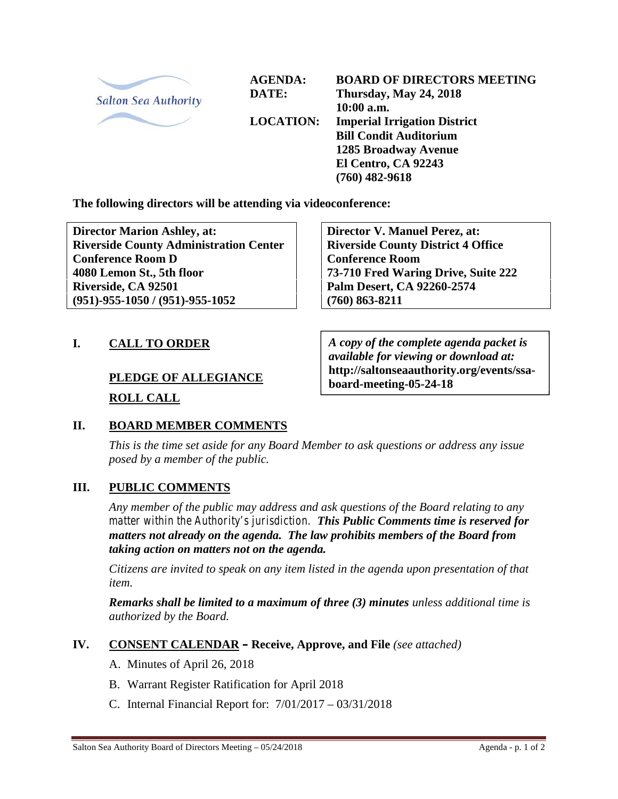

**AGENDA: DATE:**

**LOCATION:**

**BOARD OF DIRECTORS MEETING Thursday, May 24, 2018 10:00 a.m. Imperial Irrigation District Bill Condit Auditorium 1285 Broadway Avenue El Centro, CA 92243 (760) 482-9618**

**The following directors will be attending via videoconference:**

**Director Marion Ashley, at: Riverside County Administration Center Conference Room D 4080 Lemon St., 5th floor Riverside, CA 92501 (951)-955-1050 / (951)-955-1052**

**Director V. Manuel Perez, at: Riverside County District 4 Office Conference Room 73-710 Fred Waring Drive, Suite 222 Palm Desert, CA 92260-2574 (760) 863-8211**

## **I. CALL TO ORDER**

# **PLEDGE OF ALLEGIANCE ROLL CALL**

*A copy of the complete agenda packet is available for viewing or download at:* **http://saltonseaauthority.org/events/ssa board-meeting-05-24-18**

## **II. BOARD MEMBER COMMENTS**

*This is the time set aside for any Board Member to ask questions or address any issue posed by a member of the public.*

#### **III. PUBLIC COMMENTS**

*Any member of the public may address and ask questions of the Board relating to any matter within the Authority's jurisdiction. This Public Comments time is reserved for matters not already on the agenda. The law prohibits members of the Board from taking action on matters not on the agenda.*

*Citizens are invited to speak on any item listed in the agenda upon presentation of that item.*

*Remarks shall be limited to a maximum of three (3) minutes unless additional time is authorized by the Board.*

## **IV. CONSENT CALENDAR – Receive, Approve, and File** *(see attached)*

- A. Minutes of April 26, 2018
- B. Warrant Register Ratification for April 2018
- C. Internal Financial Report for: 7/01/2017 03/31/2018